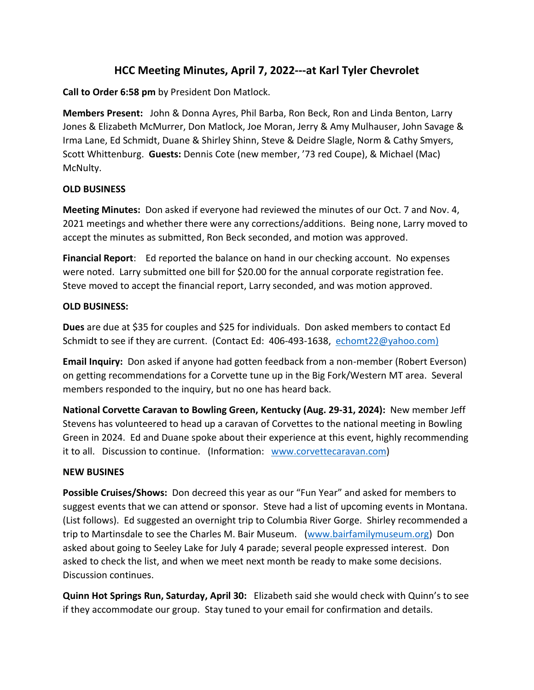## **HCC Meeting Minutes, April 7, 2022---at Karl Tyler Chevrolet**

**Call to Order 6:58 pm** by President Don Matlock.

**Members Present:** John & Donna Ayres, Phil Barba, Ron Beck, Ron and Linda Benton, Larry Jones & Elizabeth McMurrer, Don Matlock, Joe Moran, Jerry & Amy Mulhauser, John Savage & Irma Lane, Ed Schmidt, Duane & Shirley Shinn, Steve & Deidre Slagle, Norm & Cathy Smyers, Scott Whittenburg. **Guests:** Dennis Cote (new member, '73 red Coupe), & Michael (Mac) McNulty.

## **OLD BUSINESS**

**Meeting Minutes:** Don asked if everyone had reviewed the minutes of our Oct. 7 and Nov. 4, 2021 meetings and whether there were any corrections/additions. Being none, Larry moved to accept the minutes as submitted, Ron Beck seconded, and motion was approved.

**Financial Report**: Ed reported the balance on hand in our checking account. No expenses were noted. Larry submitted one bill for \$20.00 for the annual corporate registration fee. Steve moved to accept the financial report, Larry seconded, and was motion approved.

## **OLD BUSINESS:**

**Dues** are due at \$35 for couples and \$25 for individuals. Don asked members to contact Ed Schmidt to see if they are current. (Contact Ed: 406-493-1638, [echomt22@yahoo.com\)](mailto:echomt22@yahoo.com)

**Email Inquiry:** Don asked if anyone had gotten feedback from a non-member (Robert Everson) on getting recommendations for a Corvette tune up in the Big Fork/Western MT area. Several members responded to the inquiry, but no one has heard back.

**National Corvette Caravan to Bowling Green, Kentucky (Aug. 29-31, 2024):** New member Jeff Stevens has volunteered to head up a caravan of Corvettes to the national meeting in Bowling Green in 2024. Ed and Duane spoke about their experience at this event, highly recommending it to all. Discussion to continue. (Information: [www.corvettecaravan.com\)](http://www.corvettecaravan.com/)

## **NEW BUSINES**

**Possible Cruises/Shows:** Don decreed this year as our "Fun Year" and asked for members to suggest events that we can attend or sponsor. Steve had a list of upcoming events in Montana. (List follows). Ed suggested an overnight trip to Columbia River Gorge. Shirley recommended a trip to Martinsdale to see the Charles M. Bair Museum. [\(www.bairfamilymuseum.org\)](http://www.bairfamilymuseum.org/) Don asked about going to Seeley Lake for July 4 parade; several people expressed interest. Don asked to check the list, and when we meet next month be ready to make some decisions. Discussion continues.

**Quinn Hot Springs Run, Saturday, April 30:** Elizabeth said she would check with Quinn's to see if they accommodate our group. Stay tuned to your email for confirmation and details.